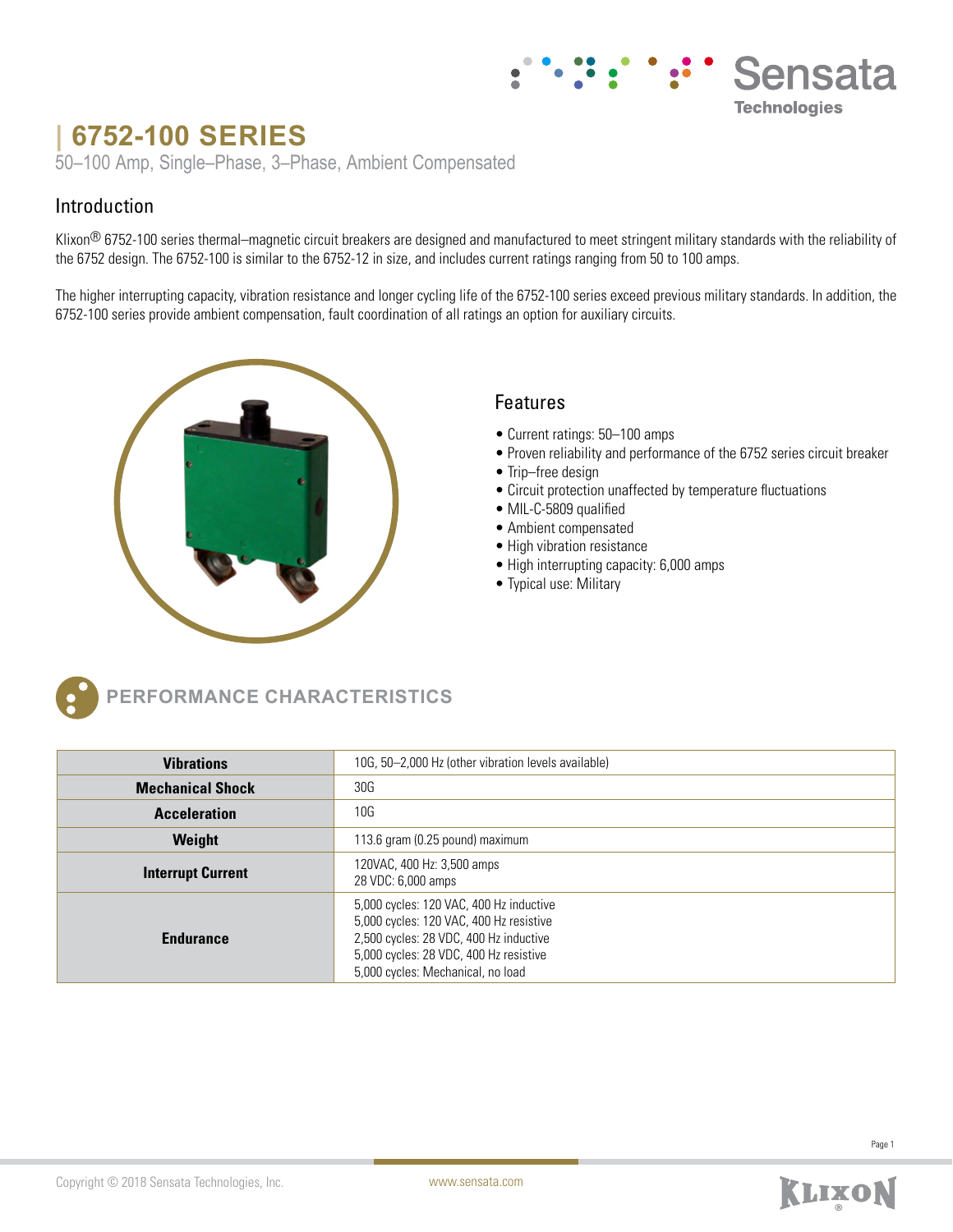# **| 6752-100 SERIES**

50–100 Amp, Single–Phase, 3–Phase, Ambient Compensated

## Introduction

Klixon<sup>®</sup> 6752-100 series thermal–magnetic circuit breakers are designed and manufactured to meet stringent military standards with the reliability of the 6752 design. The 6752-100 is similar to the 6752-12 in size, and includes current ratings ranging from 50 to 100 amps.

The higher interrupting capacity, vibration resistance and longer cycling life of the 6752-100 series exceed previous military standards. In addition, the 6752-100 series provide ambient compensation, fault coordination of all ratings an option for auxiliary circuits.



### Features

- Current ratings: 50–100 amps
- Proven reliability and performance of the 6752 series circuit breaker

Sensata

**Technologies** 

- Trip–free design
- Circuit protection unaffected by temperature fluctuations
- MIL-C-5809 qualified
- Ambient compensated
- High vibration resistance
- High interrupting capacity: 6,000 amps
- Typical use: Military



**PERFORMANCE CHARACTERISTICS**

| <b>Vibrations</b>        | 10G, 50–2,000 Hz (other vibration levels available)                                                                                                                                                         |  |  |  |
|--------------------------|-------------------------------------------------------------------------------------------------------------------------------------------------------------------------------------------------------------|--|--|--|
| <b>Mechanical Shock</b>  | 30G                                                                                                                                                                                                         |  |  |  |
| <b>Acceleration</b>      | 10G                                                                                                                                                                                                         |  |  |  |
| Weight                   | 113.6 gram (0.25 pound) maximum                                                                                                                                                                             |  |  |  |
| <b>Interrupt Current</b> | 120VAC, 400 Hz: 3,500 amps<br>28 VDC: 6,000 amps                                                                                                                                                            |  |  |  |
| <b>Endurance</b>         | 5,000 cycles: 120 VAC, 400 Hz inductive<br>5,000 cycles: 120 VAC, 400 Hz resistive<br>2,500 cycles: 28 VDC, 400 Hz inductive<br>5,000 cycles: 28 VDC, 400 Hz resistive<br>5,000 cycles: Mechanical, no load |  |  |  |

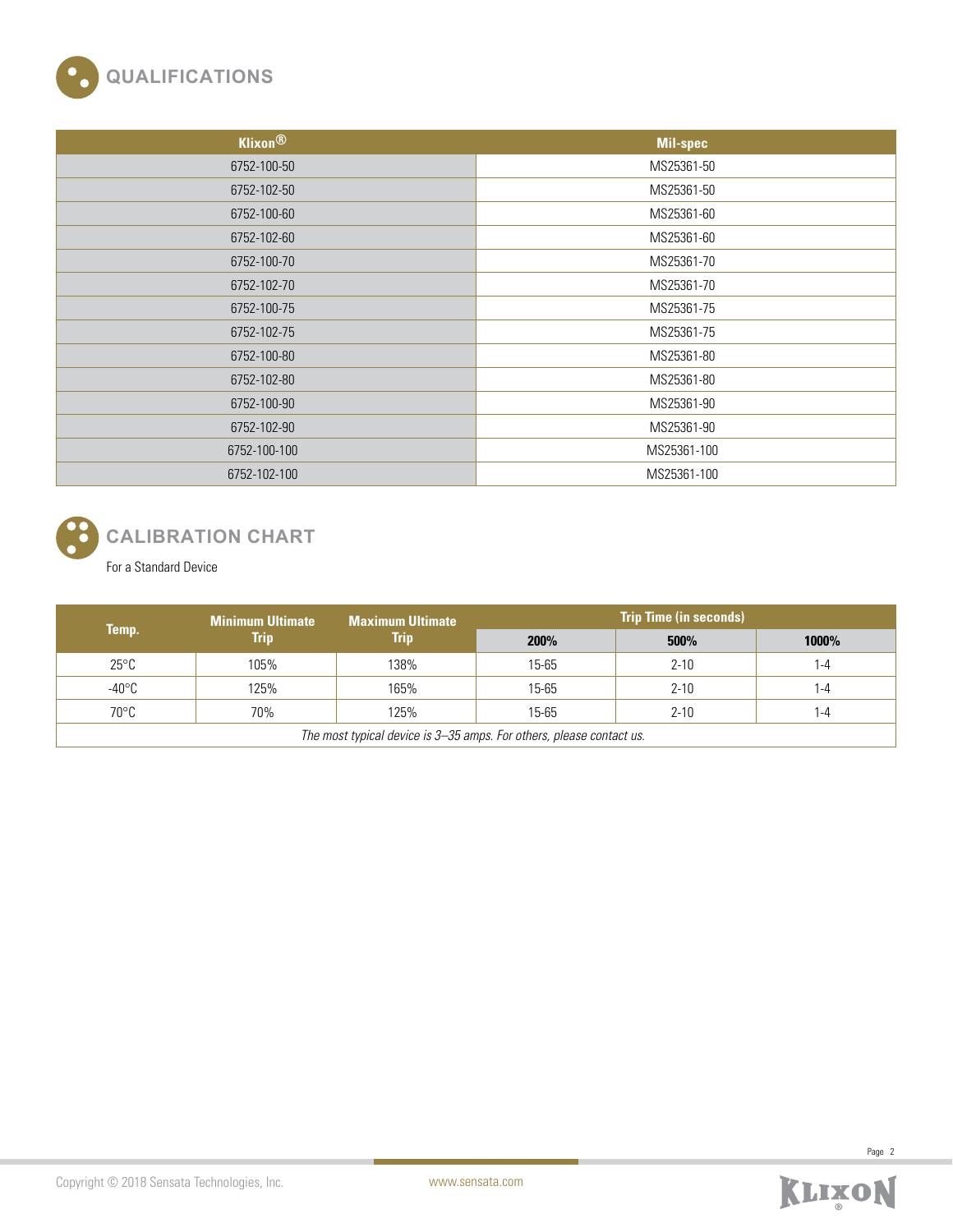

| <b>Klixon®</b> | Mil-spec    |
|----------------|-------------|
| 6752-100-50    | MS25361-50  |
| 6752-102-50    | MS25361-50  |
| 6752-100-60    | MS25361-60  |
| 6752-102-60    | MS25361-60  |
| 6752-100-70    | MS25361-70  |
| 6752-102-70    | MS25361-70  |
| 6752-100-75    | MS25361-75  |
| 6752-102-75    | MS25361-75  |
| 6752-100-80    | MS25361-80  |
| 6752-102-80    | MS25361-80  |
| 6752-100-90    | MS25361-90  |
| 6752-102-90    | MS25361-90  |
| 6752-100-100   | MS25361-100 |
| 6752-102-100   | MS25361-100 |



# **CALIBRATION CHART**

For a Standard Device

| Temp.                                                               | <b>Minimum Ultimate</b><br>Trip | <b>Maximum Ultimate</b><br>Trip | <b>Trip Time (in seconds)</b> |          |         |  |
|---------------------------------------------------------------------|---------------------------------|---------------------------------|-------------------------------|----------|---------|--|
|                                                                     |                                 |                                 | 200%                          | 500%     | 1000%   |  |
| $25^{\circ}$ C                                                      | 105%                            | 138%                            | 15-65                         | $2 - 10$ | $1 - 4$ |  |
| -40°C                                                               | 125%                            | 165%                            | 15-65                         | $2 - 10$ | 1-4     |  |
| 70°C                                                                | 70%                             | 125%                            | 15-65                         | $2 - 10$ | $1 - 4$ |  |
| The most typical device is 3–35 amps. For others, please contact us |                                 |                                 |                               |          |         |  |

*The most typical device is 3–35 amps. For others, please contact us.*